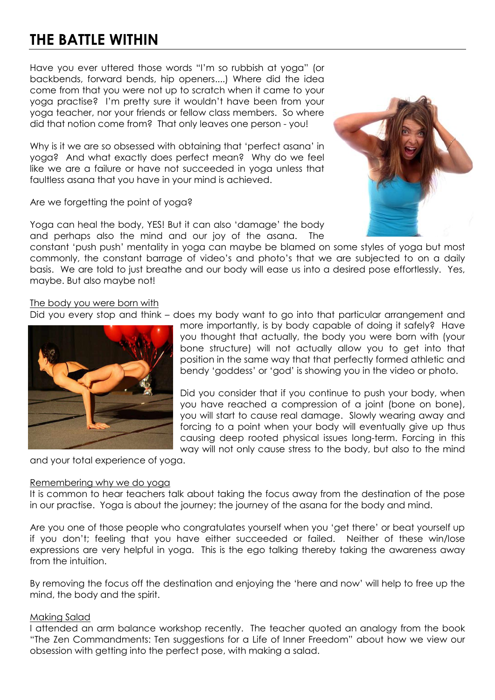## **THE BATTLE WITHIN**

Have you ever uttered those words "I'm so rubbish at yoga" (or backbends, forward bends, hip openers....) Where did the idea come from that you were not up to scratch when it came to your yoga practise? I'm pretty sure it wouldn't have been from your yoga teacher, nor your friends or fellow class members. So where did that notion come from? That only leaves one person - you!

Why is it we are so obsessed with obtaining that 'perfect asana' in yoga? And what exactly does perfect mean? Why do we feel like we are a failure or have not succeeded in yoga unless that faultless asana that you have in your mind is achieved.

Are we forgetting the point of yoga?

Yoga can heal the body, YES! But it can also 'damage' the body and perhaps also the mind and our joy of the asana. The

constant 'push push' mentality in yoga can maybe be blamed on some styles of yoga but most commonly, the constant barrage of video's and photo's that we are subjected to on a daily basis. We are told to just breathe and our body will ease us into a desired pose effortlessly. Yes, maybe. But also maybe not!

The body you were born with

Did you every stop and think – does my body want to go into that particular arrangement and



more importantly, is by body capable of doing it safely? Have you thought that actually, the body you were born with (your bone structure) will not actually allow you to get into that position in the same way that that perfectly formed athletic and bendy 'goddess' or 'god' is showing you in the video or photo.

Did you consider that if you continue to push your body, when you have reached a compression of a joint (bone on bone), you will start to cause real damage. Slowly wearing away and forcing to a point when your body will eventually give up thus causing deep rooted physical issues long-term. Forcing in this way will not only cause stress to the body, but also to the mind

and your total experience of yoga.

## Remembering why we do yoga

It is common to hear teachers talk about taking the focus away from the destination of the pose in our practise. Yoga is about the journey; the journey of the asana for the body and mind.

Are you one of those people who congratulates yourself when you 'get there' or beat yourself up if you don't; feeling that you have either succeeded or failed. Neither of these win/lose expressions are very helpful in yoga. This is the ego talking thereby taking the awareness away from the intuition.

By removing the focus off the destination and enjoying the 'here and now' will help to free up the mind, the body and the spirit.

## Making Salad

I attended an arm balance workshop recently. The teacher quoted an analogy from the book "The Zen Commandments: Ten suggestions for a Life of Inner Freedom" about how we view our obsession with getting into the perfect pose, with making a salad.